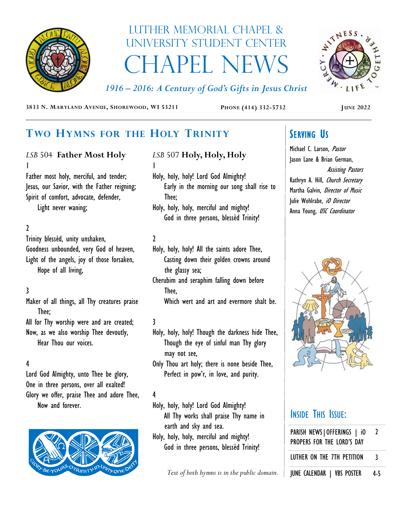

# Luther Memorial Chapel & University Student Center **CHAPEL NEWS**

ANTAESS. LIF

*1916 – 2016: A Century of God's Gifts in Jesus Christ*

**3833 N. MARYLAND AVENUE, SHOREWOOD, WI 53211 PHONE (414) 332-5732 JUNE 2022**

## **TWO HYMNS FOR THE HOLY TRINITY**

### *LSB* 504 **Father Most Holy** 1

Father most holy, merciful, and tender; Jesus, our Savior, with the Father reigning; Spirit of comfort, advocate, defender,

Light never waning;

### 2

Trinity blessèd, unity unshaken, Goodness unbounded, very God of heaven, Light of the angels, joy of those forsaken, Hope of all living,

## 3

Maker of all things, all Thy creatures praise Thee;

All for Thy worship were and are created; Now, as we also worship Thee devoutly, Hear Thou our voices.

### 4

Lord God Almighty, unto Thee be glory, One in three persons, over all exalted! Glory we offer, praise Thee and adore Thee, Now and forever.



## *LSB* 507 **Holy, Holy, Holy** 1

Holy, holy, holy! Lord God Almighty! Early in the morning our song shall rise to Thee;

Holy, holy, holy, merciful and mighty! God in three persons, blessèd Trinity!

### 2

- Holy, holy, holy! All the saints adore Thee, Casting down their golden crowns around the glassy sea;
- Cherubim and seraphim falling down before Thee,

Which wert and art and evermore shalt be.

### 3

Holy, holy, holy! Though the darkness hide Thee, Though the eye of sinful man Thy glory may not see,

Only Thou art holy; there is none beside Thee, Perfect in pow'r, in love, and purity.

### 4

Holy, holy, holy! Lord God Almighty! All Thy works shall praise Thy name in earth and sky and sea.

Holy, holy, holy, merciful and mighty! God in three persons, blessèd Trinity!

Text of both hymns is in the public domain. | **JUNE CALENDAR** | VBS POSTER 4-5

## **SERVING US**

Michael C. Larson, Pastor Jason Lane & Brian German, Assisting Pastors Kathryn A. Hill, Church Secretary Martha Galvin, *Director of Music* Julie Wohlrabe, iO Director Anna Young, USC Coordinator



## INSIDE THIS ISSUE:

| PARISH NEWS   OFFERINGS   iO<br>PROPERS FOR THE LORD'S DAY | 2 |
|------------------------------------------------------------|---|
| LUTHER ON THE 7TH PETITION                                 | र |
| HILLE CALENDAR I UDC BOCTER                                |   |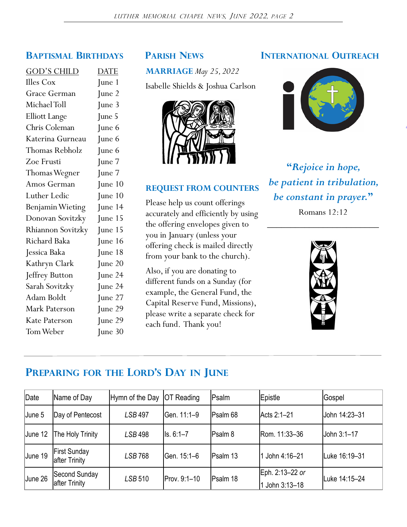| <b>GOD'S CHILD</b>    | <b>DATE</b> |
|-----------------------|-------------|
| <b>Illes Cox</b>      | June 1      |
| Grace German          | June 2      |
| Michael Toll          | June 3      |
| <b>Elliott Lange</b>  | June 5      |
| Chris Coleman         | June 6      |
| Katerina Gurneau      | June 6      |
| <b>Thomas Rebholz</b> | June 6      |
| Zoe Frusti            | June 7      |
| Thomas Wegner         | June 7      |
| Amos German           | June $10$   |
| Luther Ledic          | June 10     |
| Benjamin Wieting      | June 14     |
| Donovan Sovitzky      | June 15     |
| Rhiannon Sovitzky     | June 15     |
| Richard Baka          | June 16     |
| Jessica Baka          | June 18     |
| Kathryn Clark         | June 20     |
| Jeffrey Button        | June 24     |
| Sarah Sovitzky        | June 24     |
| Adam Boldt            | June 27     |
| Mark Paterson         | June 29     |
| Kate Paterson         | June 29     |
| Tom Weber             | June 30     |
|                       |             |

**MARRIAGE** *May 25, 2022*

Isabelle Shields & Joshua Carlson



### **REQUEST FROM COUNTERS**

Please help us count offerings accurately and efficiently by using the offering envelopes given to you in January (unless your offering check is mailed directly from your bank to the church).

Also, if you are donating to different funds on a Sunday (for example, the General Fund, the Capital Reserve Fund, Missions), please write a separate check for each fund. Thank you!

### **BAPTISMAL BIRTHDAYS PARISH NEWS INTERNATIONAL OUTREACH**



**"***Rejoice in hope, be patient in tribulation, be constant in prayer.***"**

Romans 12:12 \_\_\_\_\_\_\_\_\_\_\_\_\_\_\_\_\_\_\_\_\_\_\_\_



## **PREPARING FOR THE LORD'S DAY IN JUNE**

| Date    | Name of Day                          | Hymn of the Day | <b>OT Reading</b>      | Psalm           | Epistle                         | Gospel        |
|---------|--------------------------------------|-----------------|------------------------|-----------------|---------------------------------|---------------|
| June 5  | Day of Pentecost                     | <b>LSB 497</b>  | <b>Gen. 11:1–9</b>     | <b>Psalm 68</b> | Acts 2:1-21                     | John 14:23-31 |
| June 12 | The Holy Trinity                     | <b>LSB 498</b>  | $\textsf{lls. 6:1--7}$ | <b>Psalm 8</b>  | Rom. 11:33-36                   | John 3:1-17   |
| June 19 | <b>First Sunday</b><br>after Trinity | <b>LSB768</b>   | <b>Gen. 15:1–6</b>     | Psalm 13        | John 4:16-21                    | Luke 16:19-31 |
| June 26 | Second Sunday<br>after Trinity       | <b>LSB 510</b>  | Prov. 9:1-10           | <b>Psalm 18</b> | Eph. 2:13-22 or<br>John 3:13-18 | Luke 14:15-24 |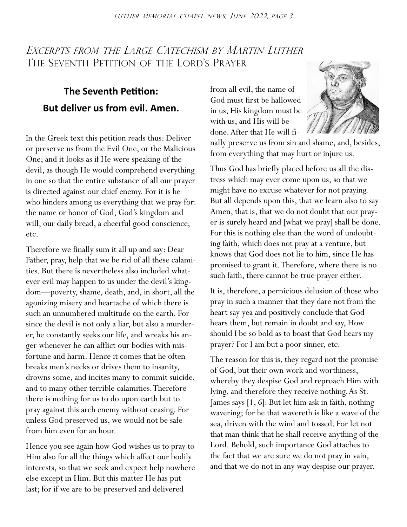## EXCERPTS FROM THE LARGE CATECHISM BY MARTIN LUTHER THE SEVENTH PETITION OF THE LORD'S PRAYER

## **The Seventh Petition: But deliver us from evil. Amen.**

In the Greek text this petition reads thus: Deliver or preserve us from the Evil One, or the Malicious One; and it looks as if He were speaking of the devil, as though He would comprehend everything in one so that the entire substance of all our prayer is directed against our chief enemy. For it is he who hinders among us everything that we pray for: the name or honor of God, God's kingdom and will, our daily bread, a cheerful good conscience, etc.

Therefore we finally sum it all up and say: Dear Father, pray, help that we be rid of all these calamities. But there is nevertheless also included whatever evil may happen to us under the devil's kingdom—poverty, shame, death, and, in short, all the agonizing misery and heartache of which there is such an unnumbered multitude on the earth. For since the devil is not only a liar, but also a murderer, he constantly seeks our life, and wreaks his anger whenever he can afflict our bodies with misfortune and harm. Hence it comes that he often breaks men's necks or drives them to insanity, drowns some, and incites many to commit suicide, and to many other terrible calamities. Therefore there is nothing for us to do upon earth but to pray against this arch enemy without ceasing. For unless God preserved us, we would not be safe from him even for an hour.

Hence you see again how God wishes us to pray to Him also for all the things which affect our bodily interests, so that we seek and expect help nowhere else except in Him. But this matter He has put last; for if we are to be preserved and delivered

from all evil, the name of God must first be hallowed in us, His kingdom must be with us, and His will be done. After that He will fi-



nally preserve us from sin and shame, and, besides, from everything that may hurt or injure us.

Thus God has briefly placed before us all the distress which may ever come upon us, so that we might have no excuse whatever for not praying. But all depends upon this, that we learn also to say Amen, that is, that we do not doubt that our prayer is surely heard and [what we pray] shall be done. For this is nothing else than the word of undoubting faith, which does not pray at a venture, but knows that God does not lie to him, since He has promised to grant it. Therefore, where there is no such faith, there cannot be true prayer either.

It is, therefore, a pernicious delusion of those who pray in such a manner that they dare not from the heart say yea and positively conclude that God hears them, but remain in doubt and say, How should I be so bold as to boast that God hears my prayer? For I am but a poor sinner, etc.

The reason for this is, they regard not the promise of God, but their own work and worthiness, whereby they despise God and reproach Him with lying, and therefore they receive nothing. As St. James says [1, 6]: But let him ask in faith, nothing wavering; for he that wavereth is like a wave of the sea, driven with the wind and tossed. For let not that man think that he shall receive anything of the Lord. Behold, such importance God attaches to the fact that we are sure we do not pray in vain, and that we do not in any way despise our prayer.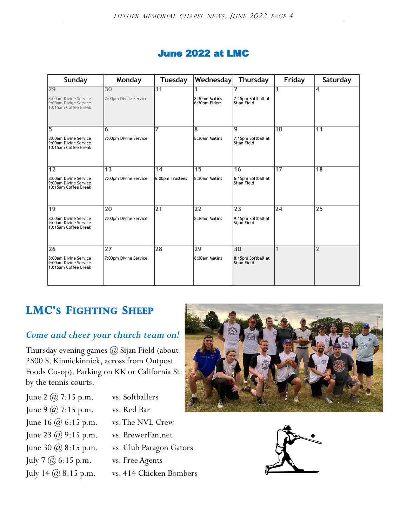|  | <b>June 2022 at LMC</b> |  |  |
|--|-------------------------|--|--|
|--|-------------------------|--|--|

| Sunday                                                                 | Monday                | <b>Tuesday</b><br><b>Wednesday</b> |                                | Thursday                          | Friday          | Saturday        |
|------------------------------------------------------------------------|-----------------------|------------------------------------|--------------------------------|-----------------------------------|-----------------|-----------------|
| 29                                                                     | 30                    | 31                                 |                                | 2                                 | 3               | 4               |
| 8:00am Divine Service<br>9:00am Divine Service<br>10:15am Coffee Break | 7:00pm Divine Service |                                    | 8:30am Matins<br>6:30pm Elders | 7:15pm Softball at<br>Sijan Field |                 |                 |
| 15                                                                     | 6                     |                                    | 8                              | 9                                 | 10              | $\overline{11}$ |
| 8:00am Divine Service<br>9:00am Divine Service<br>10:15am Coffee Break | 7:00pm Divine Service |                                    | 8:30am Matins                  | 7:15pm Softball at<br>Sijan Field |                 |                 |
| 12                                                                     | 13                    | 14                                 | 15                             | 16                                | $\overline{17}$ | $\overline{18}$ |
| 8:00am Divine Service<br>9:00am Divine Service<br>10:15am Coffee Break | 7:00pm Divine Service | 6:00pm Trustees                    | 8:30am Matins                  | 6:15pm Softball at<br>Sijan Field |                 |                 |
| $\overline{19}$                                                        | 20                    | 21                                 | $\overline{22}$                | 23                                | $\overline{24}$ | $\overline{25}$ |
| 8:00am Divine Service<br>9:00am Divine Service<br>10:15am Coffee Break | 7:00pm Divine Service |                                    | 8:30am Matins                  | 9:15pm Softball at<br>Sijan Field |                 |                 |
| 26                                                                     | 27                    | 28                                 | $\overline{29}$                | 30                                |                 | $\overline{2}$  |
| 8:00am Divine Service<br>9:00am Divine Service<br>10:15am Coffee Break | 7:00pm Divine Service |                                    | 8:30am Matins                  | 8:15pm Softball at<br>Sijan Field |                 |                 |

## **LMC's FIGHTING SHEEP**

## *Come and cheer your church team on!*

Thursday evening games @ Sijan Field (about 2800 S. Kinnickinnick, across from Outpost Foods Co-op). Parking on KK or California St. by the tennis courts.

- June 2  $@$  7:15 p.m. vs. Softballers June 9  $\omega$  7:15 p.m. vs. Red Bar June 16 @ 6:15 p.m. vs. The NVL Crew June 23 @ 9:15 p.m. vs. BrewerFan.net June 30 @ 8:15 p.m. vs. Club Paragon Gators
	-
- July 7 @ 6:15 p.m. vs. Free Agents
- July 14 @ 8:15 p.m. vs. 414 Chicken Bombers